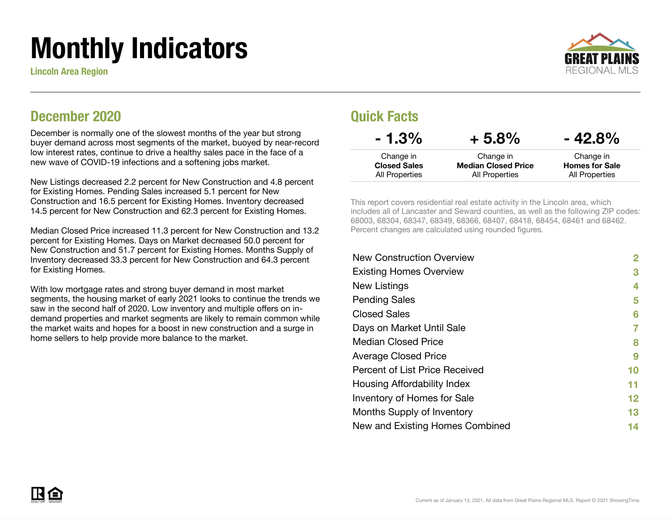# Monthly Indicators

Lincoln Area Region



#### December 2020

December is normally one of the slowest months of the year but strong buyer demand across most segments of the market, buoyed by near-record low interest rates, continue to drive a healthy sales pace in the face of a new wave of COVID-19 infections and a softening jobs market.

New Listings decreased 2.2 percent for New Construction and 4.8 percent for Existing Homes. Pending Sales increased 5.1 percent for New Construction and 16.5 percent for Existing Homes. Inventory decreased 14.5 percent for New Construction and 62.3 percent for Existing Homes.

Median Closed Price increased 11.3 percent for New Construction and 13.2 percent for Existing Homes. Days on Market decreased 50.0 percent for New Construction and 51.7 percent for Existing Homes. Months Supply of Inventory decreased 33.3 percent for New Construction and 64.3 percent for Existing Homes.

With low mortgage rates and strong buyer demand in most market segments, the housing market of early 2021 looks to continue the trends we saw in the second half of 2020. Low inventory and multiple offers on indemand properties and market segments are likely to remain common while the market waits and hopes for a boost in new construction and a surge in home sellers to help provide more balance to the market.

#### Quick Facts

| $-1.3\%$            | $+5.8%$                    | $-42.8%$              |
|---------------------|----------------------------|-----------------------|
| Change in           | Change in                  | Change in             |
| <b>Closed Sales</b> | <b>Median Closed Price</b> | <b>Homes for Sale</b> |
| All Properties      | All Properties             | All Properties        |

This report covers residential real estate activity in the Lincoln area, which includes all of Lancaster and Seward counties, as well as the following ZIP codes: 68003, 68304, 68347, 68349, 68366, 68407, 68418, 68454, 68461 and 68462. Percent changes are calculated using rounded figures.

| <b>New Construction Overview</b> | 2                 |
|----------------------------------|-------------------|
| <b>Existing Homes Overview</b>   | 3                 |
| New Listings                     | 4                 |
| <b>Pending Sales</b>             | 5                 |
| <b>Closed Sales</b>              | 6                 |
| Days on Market Until Sale        | 7                 |
| Median Closed Price              | 8                 |
| <b>Average Closed Price</b>      | 9                 |
| Percent of List Price Received   | 10                |
| Housing Affordability Index      | 11                |
| Inventory of Homes for Sale      | $12 \ \mathsf{ }$ |
| Months Supply of Inventory       | 13                |
| New and Existing Homes Combined  | 14                |
|                                  |                   |

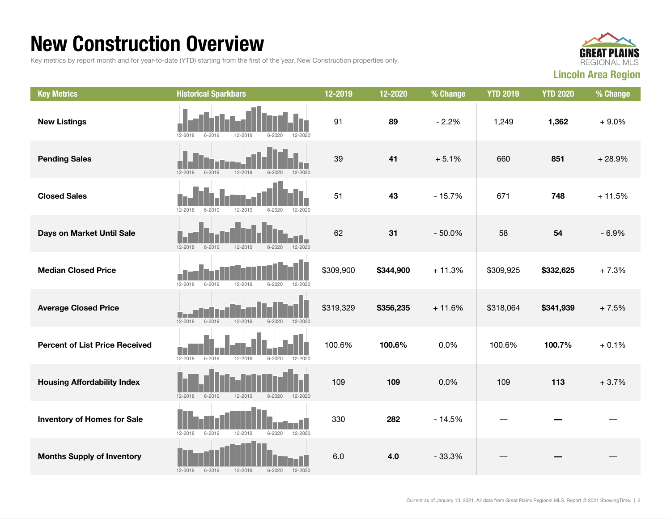### New Construction Overview

Key metrics by report month and for year-to-date (YTD) starting from the first of the year. New Construction properties only.



| <b>Key Metrics</b>                    | <b>Historical Sparkbars</b>                                   | 12-2019   | 12-2020   | % Change | <b>YTD 2019</b> | <b>YTD 2020</b> | % Change |
|---------------------------------------|---------------------------------------------------------------|-----------|-----------|----------|-----------------|-----------------|----------|
| <b>New Listings</b>                   | 12-2018<br>6-2019<br>12-2019<br>$6 - 2020$<br>12-2020         | 91        | 89        | $-2.2%$  | 1,249           | 1,362           | $+9.0%$  |
| <b>Pending Sales</b>                  | 12-2019<br>$12 - 2018$<br>$6 - 2019$<br>$6 - 2020$<br>12-2020 | 39        | 41        | $+5.1%$  | 660             | 851             | $+28.9%$ |
| <b>Closed Sales</b>                   | $6 - 2020$<br>12-2018<br>6-2019<br>12-2019<br>12-2020         | 51        | 43        | $-15.7%$ | 671             | 748             | $+11.5%$ |
| Days on Market Until Sale             | 12-2020<br>$12 - 2018$<br>$6 - 2019$<br>12-2019<br>$6 - 2020$ | 62        | 31        | $-50.0%$ | 58              | 54              | $-6.9%$  |
| <b>Median Closed Price</b>            | $12 - 2018$<br>12-2019<br>$6 - 2020$<br>12-2020<br>6-2019     | \$309,900 | \$344,900 | $+11.3%$ | \$309,925       | \$332,625       | $+7.3%$  |
| <b>Average Closed Price</b>           | $12 - 2018$<br>$6 - 2019$<br>12-2019<br>$6 - 2020$<br>12-2020 | \$319,329 | \$356,235 | $+11.6%$ | \$318,064       | \$341,939       | $+7.5%$  |
| <b>Percent of List Price Received</b> | $12 - 2018$<br>$6 - 2019$<br>12-2019<br>$6 - 2020$<br>12-2020 | 100.6%    | 100.6%    | 0.0%     | 100.6%          | 100.7%          | $+0.1%$  |
| <b>Housing Affordability Index</b>    | 12-2018<br>$6 - 2019$<br>12-2019<br>$6 - 2020$<br>12-2020     | 109       | 109       | 0.0%     | 109             | 113             | $+3.7%$  |
| <b>Inventory of Homes for Sale</b>    | $6 - 2020$<br>12-2020<br>12-2018<br>$6 - 2019$<br>12-2019     | 330       | 282       | $-14.5%$ |                 |                 |          |
| <b>Months Supply of Inventory</b>     | 12-2019<br>$6 - 2020$<br>$12 - 2018$<br>$6 - 2019$<br>12-2020 | 6.0       | 4.0       | $-33.3%$ |                 |                 |          |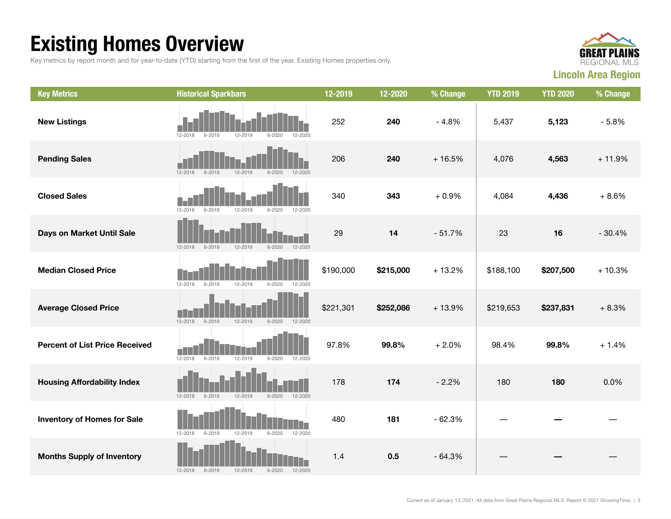## Existing Homes Overview

Key metrics by report month and for year-to-date (YTD) starting from the first of the year. Existing Homes properties only.



| <b>Key Metrics</b>                    | <b>Historical Sparkbars</b>                                       | 12-2019   | 12-2020   | % Change | <b>YTD 2019</b> | <b>YTD 2020</b> | % Change |
|---------------------------------------|-------------------------------------------------------------------|-----------|-----------|----------|-----------------|-----------------|----------|
| <b>New Listings</b>                   | 12-2018<br>12-2019<br>6-2019<br>$6 - 2020$<br>12-2020             | 252       | 240       | $-4.8%$  | 5,437           | 5,123           | $-5.8%$  |
| <b>Pending Sales</b>                  | $12 - 2018$<br>$6 - 2019$<br>12-2019<br>$6 - 2020$<br>12-2020     | 206       | 240       | $+16.5%$ | 4,076           | 4,563           | $+11.9%$ |
| <b>Closed Sales</b>                   | 12-2018<br>$6 - 2019$<br>12-2019<br>6-2020<br>12-2020             | 340       | 343       | $+0.9%$  | 4,084           | 4,436           | $+8.6%$  |
| Days on Market Until Sale             | $12 - 2018$<br>$6 - 2019$<br>12-2019<br>$6 - 2020$<br>12-2020     | 29        | 14        | $-51.7%$ | 23              | 16              | $-30.4%$ |
| <b>Median Closed Price</b>            | $6 - 2019$<br>12-2019<br>$6 - 2020$<br>$12 - 2018$<br>12-2020     | \$190,000 | \$215,000 | $+13.2%$ | \$188,100       | \$207,500       | $+10.3%$ |
| <b>Average Closed Price</b>           | $12 - 2018$<br>$6 - 2019$<br>12-2019<br>$6 - 2020$<br>12-2020     | \$221,301 | \$252,086 | $+13.9%$ | \$219,653       | \$237,831       | $+8.3%$  |
| <b>Percent of List Price Received</b> | $12 - 2019$<br>$12 - 2018$<br>$6 - 2019$<br>$6 - 2020$<br>12-2020 | 97.8%     | 99.8%     | $+2.0%$  | 98.4%           | 99.8%           | $+1.4%$  |
| <b>Housing Affordability Index</b>    | $12 - 2018$<br>$6 - 2019$<br>12-2019<br>12-2020<br>$6 - 2020$     | 178       | 174       | $-2.2%$  | 180             | 180             | 0.0%     |
| <b>Inventory of Homes for Sale</b>    | 12-2019<br>$6 - 2020$<br>12-2020<br>$12 - 2018$<br>$6 - 2019$     | 480       | 181       | $-62.3%$ |                 |                 |          |
| <b>Months Supply of Inventory</b>     | $6 - 2019$<br>12-2019<br>$6 - 2020$<br>12-2020<br>12-2018         | 1.4       | 0.5       | $-64.3%$ |                 |                 |          |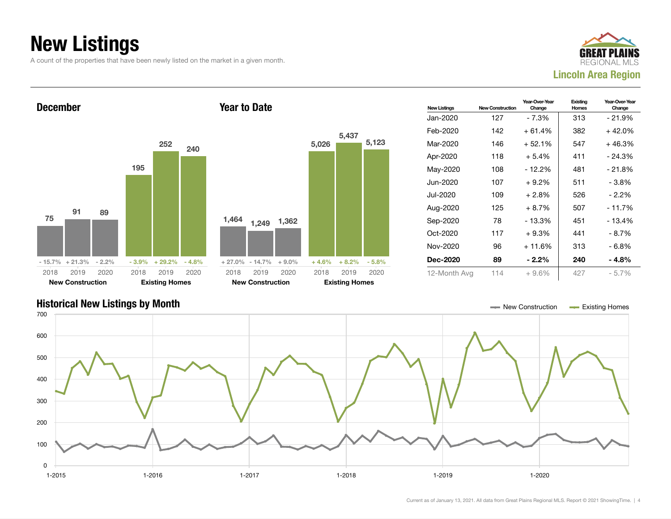## New Listings

A count of the properties that have been newly listed on the market in a given month.







Current as of January 13, 2021. All data from Great Plains Regional MLS. Report © 2021 ShowingTime. | 4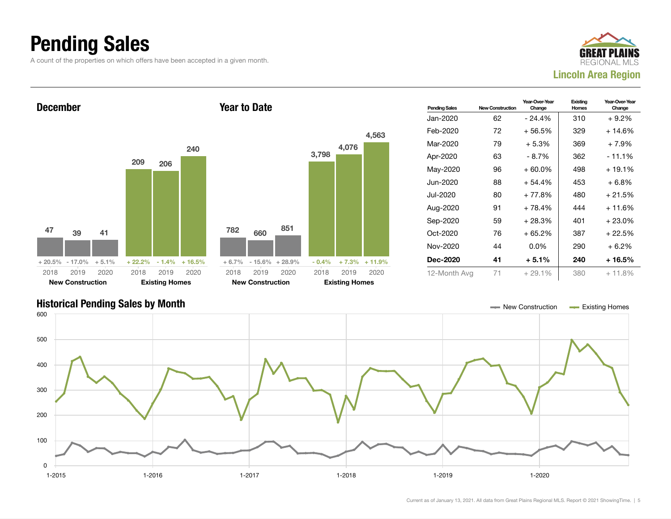## Pending Sales

A count of the properties on which offers have been accepted in a given month.





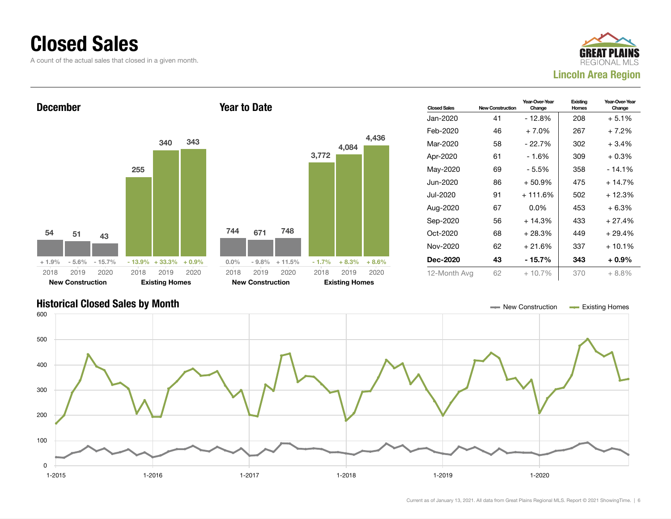#### Closed Sales

A count of the actual sales that closed in a given month.





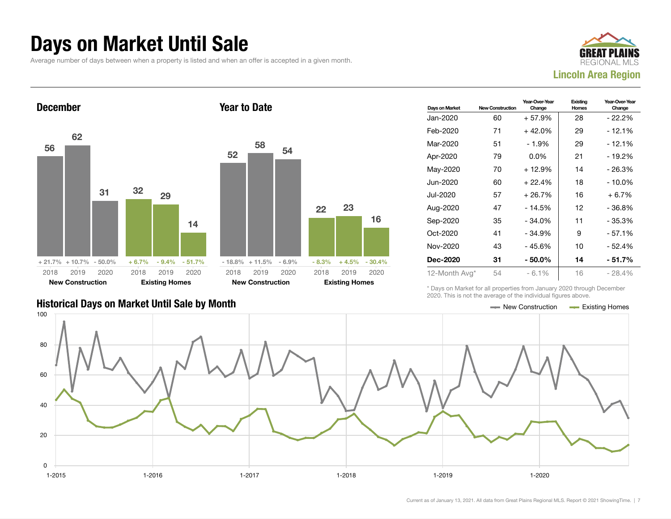#### Days on Market Until Sale

Average number of days between when a property is listed and when an offer is accepted in a given month.





|                                                      | <u>- Le Le Line is the this wishes of the member ingeres weeld.</u> |  |
|------------------------------------------------------|---------------------------------------------------------------------|--|
| <b>Historical Days on Market Until Sale by Month</b> | $\equiv$ New Construction $\equiv$ Existing Homes                   |  |

| Days on Market | <b>New Construction</b> | Year-Over-Year<br>Change | Existing<br><b>Homes</b> | Year-Over-Year<br>Change |
|----------------|-------------------------|--------------------------|--------------------------|--------------------------|
| Jan-2020       | 60                      | $+57.9%$                 | 28                       | - 22.2%                  |
| Feb-2020       | 71                      | $+42.0%$                 | 29                       | - 12.1%                  |
| Mar-2020       | 51                      | $-1.9%$                  | 29                       | $-12.1%$                 |
| Apr-2020       | 79                      | $0.0\%$                  | 21                       | $-19.2%$                 |
| May-2020       | 70                      | $+12.9%$                 | 14                       | - 26.3%                  |
| Jun-2020       | 60                      | $+22.4%$                 | 18                       | - 10.0%                  |
| Jul-2020       | 57                      | $+26.7%$                 | 16                       | $+6.7%$                  |
| Aug-2020       | 47                      | $-14.5%$                 | 12                       | - 36.8%                  |
| Sep-2020       | 35                      | $-34.0%$                 | 11                       | - 35.3%                  |
| Oct-2020       | 41                      | $-34.9%$                 | 9                        | $-57.1%$                 |
| Nov-2020       | 43                      | $-45.6%$                 | 10                       | - 52.4%                  |
| Dec-2020       | 31                      | $-50.0\%$                | 14                       | $-51.7%$                 |
| 12-Month Avg*  | 54                      | $-6.1\%$                 | 16                       | $-28.4%$                 |

\* Days on Market for all properties from January 2020 through December 2020. This is not the average of the individual figures above.



16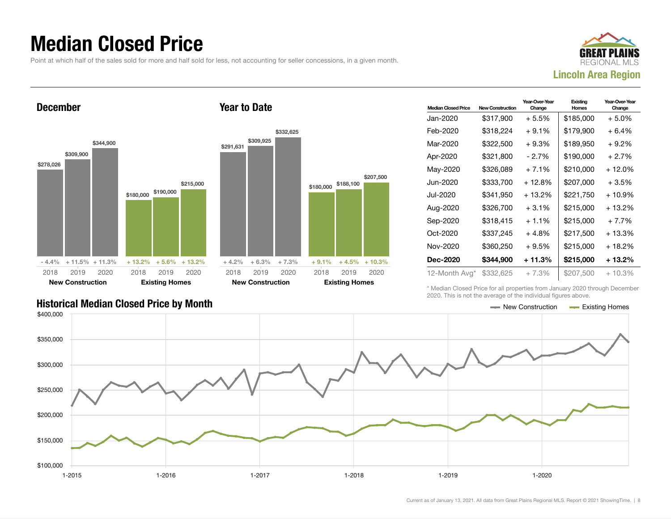### Median Closed Price

Point at which half of the sales sold for more and half sold for less, not accounting for seller concessions, in a given month.





| <b>Median Closed Price</b> | <b>New Construction</b> | Year-Over-Year<br>Change | Existing<br>Homes | Year-Over-Year<br>Change |
|----------------------------|-------------------------|--------------------------|-------------------|--------------------------|
| Jan-2020                   | \$317,900               | $+5.5%$                  | \$185,000         | + 5.0%                   |
| Feb-2020                   | \$318,224               | $+9.1%$                  | \$179,900         | + 6.4%                   |
| Mar-2020                   | \$322,500               | $+9.3%$                  | \$189,950         | + 9.2%                   |
| Apr-2020                   | \$321,800               | - 2.7%                   | \$190,000         | $+2.7%$                  |
| May-2020                   | \$326,089               | $+7.1%$                  | \$210,000         | + 12.0%                  |
| Jun-2020                   | \$333,700               | + 12.8%                  | \$207,000         | $+3.5%$                  |
| Jul-2020                   | \$341,950               | $+13.2%$                 | \$221,750         | $+10.9%$                 |
| Aug-2020                   | \$326.700               | $+3.1\%$                 | \$215,000         | $+13.2\%$                |
| Sep-2020                   | \$318,415               | $+1.1\%$                 | \$215,000         | $+7.7%$                  |
| Oct-2020                   | \$337,245               | $+4.8%$                  | \$217,500         | $+13.3%$                 |
| Nov-2020                   | \$360.250               | $+9.5%$                  | \$215,000         | + 18.2%                  |
| <b>Dec-2020</b>            | \$344,900               | + 11.3%                  | \$215,000         | + 13.2%                  |
| 12-Month Avg*              | \$332,625               | $+7.3%$                  | \$207,500         | $+10.3%$                 |

\* Median Closed Price for all properties from January 2020 through December 2020. This is not the average of the individual figures above.



\$207,500

#### Historical Median Closed Price by Month **New York Construction According Closed Price by Month** New Construction According Homes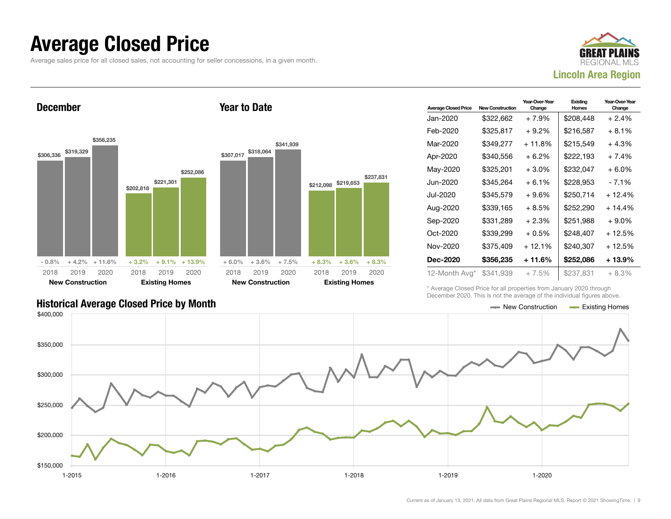#### Average Closed Price

Average sales price for all closed sales, not accounting for seller concessions, in a given month.



December



Year to Date

| <b>Average Closed Price</b> | <b>New Construction</b> | Year-Over-Year<br>Change | Existina<br>Homes | Year-Over-Year<br>Change |
|-----------------------------|-------------------------|--------------------------|-------------------|--------------------------|
| Jan-2020                    | \$322.662               | + 7.9%                   | \$208.448         | + 2.4%                   |
| Feb-2020                    | \$325,817               | $+9.2\%$                 | \$216,587         | + 8.1%                   |
| Mar-2020                    | \$349,277               | + 11.8%                  | \$215,549         | $+4.3%$                  |
| Apr-2020                    | \$340,556               | $+6.2\%$                 | \$222,193         | + 7.4%                   |
| May-2020                    | \$325,201               | $+3.0%$                  | \$232,047         | + 6.0%                   |
| Jun-2020                    | \$345,264               | $+6.1%$                  | \$228,953         | - 7.1%                   |
| Jul-2020                    | \$345,579               | $+9.6%$                  | \$250,714         | + 12.4%                  |
| Aug-2020                    | \$339,165               | $+8.5%$                  | \$252,290         | $+14.4%$                 |
| Sep-2020                    | \$331,289               | $+2.3%$                  | \$251,988         | $+9.0\%$                 |
| $Oct-2020$                  | \$339,299               | $+0.5%$                  | \$248.407         | $+12.5%$                 |
| Nov-2020                    | \$375,409               | $+12.1%$                 | \$240,307         | + 12.5%                  |
| Dec-2020                    | \$356,235               | + 11.6%                  | \$252,086         | + 13.9%                  |
| 12-Month Avg*               | \$341,939               | $+7.5%$                  | \$237,831         | $+8.3%$                  |

\* Average Closed Price for all properties from January 2020 through December 2020. This is not the average of the individual figures above.

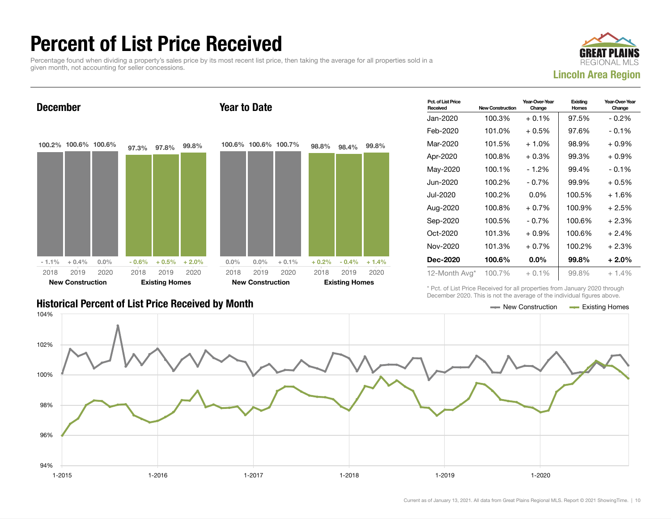## Percent of List Price Received

Percentage found when dividing a property's sales price by its most recent list price, then taking the average for all properties sold in a given month, not accounting for seller concessions.



Year-Over-Year Change

Existing **Homes** 

Pct. of List Price<br>Received **New Construction** Jan-2020 100.3% + 0.1% 97.5% - 0.2% Feb-2020 101.0% + 0.5% 97.6% - 0.1% Mar-2020 101.5% + 1.0% 98.9% + 0.9% Apr-2020 100.8% + 0.3% 99.3% + 0.9% May-2020 100.1% - 1.2% 99.4% - 0.1% December 100.2% 100.6% 100.6%  $-1.1\% + 0.4\% = 0.0\%$ 97.3% 97.8% 99.8%  $-0.6\%$   $+0.5\%$   $+2.0\%$ 2018 New Construction 2019 2020 2018 Existing Homes 2019 2020 Year to Date 100.6% 100.6% 100.7%  $0.0\%$  0.0% + 0.1% 98.8% 98.4% 99.8%  $+ 0.2\%$  - 0.4% + 1.4% 2018 New Construction 2019 2020 2018 Existing Homes 2019 2020

#### Historical Percent of List Price Received by Month New Construction According Homes

Jun-2020 100.2% - 0.7% 99.9% + 0.5% Jul-2020 100.2% 0.0% 100.5% + 1.6% Aug-2020 100.8% + 0.7% 100.9% + 2.5% Sep-2020 100.5% - 0.7% 100.6% + 2.3%  $Oct-2020$  101.3% + 0.9% 100.6% + 2.4% Nov-2020 101.3% + 0.7% 100.2% + 2.3% Dec-2020 100.6% 0.0% 99.8% + 2.0% 12-Month Avg\* 100.7% + 0.1% 99.8% + 1.4%

Year-Over-Year Change

\* Pct. of List Price Received for all properties from January 2020 through December 2020. This is not the average of the individual figures above.

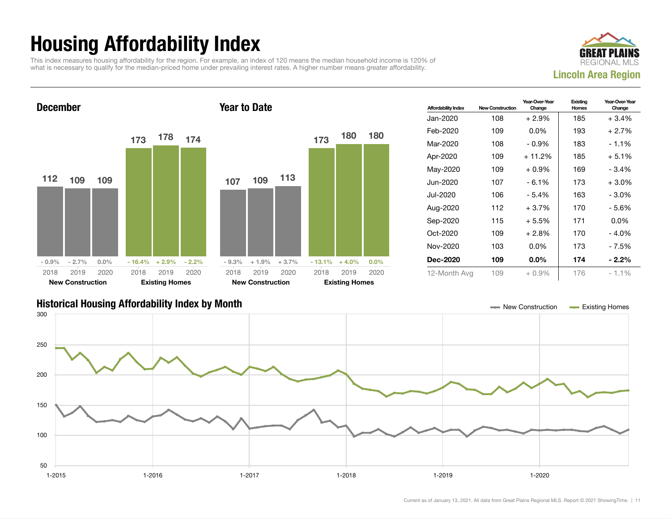## Housing Affordability Index

This index measures housing affordability for the region. For example, an index of 120 means the median household income is 120% of what is necessary to qualify for the median-priced home under prevailing interest rates. A higher number means greater affordability.





| <b>Affordability Index</b> | <b>New Construction</b> | Year-Over-Year<br>Change | Existing<br>Homes | Year-Over-Year<br>Change |
|----------------------------|-------------------------|--------------------------|-------------------|--------------------------|
| Jan-2020                   | 108                     | $+2.9\%$                 | 185               | $+3.4%$                  |
| Feb-2020                   | 109                     | $0.0\%$                  | 193               | $+2.7%$                  |
| Mar-2020                   | 108                     | - 0.9%                   | 183               | $-1.1\%$                 |
| Apr-2020                   | 109                     | $+11.2%$                 | 185               | $+5.1%$                  |
| May-2020                   | 109                     | $+0.9%$                  | 169               | $-3.4%$                  |
| Jun-2020                   | 107                     | $-6.1%$                  | 173               | $+3.0\%$                 |
| Jul-2020                   | 106                     | $-5.4%$                  | 163               | $-3.0\%$                 |
| Aug-2020                   | 112                     | $+3.7%$                  | 170               | - 5.6%                   |
| Sep-2020                   | 115                     | $+5.5%$                  | 171               | $0.0\%$                  |
| $Oct-2020$                 | 109                     | $+2.8%$                  | 170               | $-4.0%$                  |
| Nov-2020                   | 103                     | $0.0\%$                  | 173               | - 7.5%                   |
| Dec-2020                   | 109                     | $0.0\%$                  | 174               | $-2.2\%$                 |
| 12-Month Avg               | 109                     | $+0.9%$                  | 176               | $-1.1\%$                 |

#### Historical Housing Affordability Index by Month New Construction Existing Homes

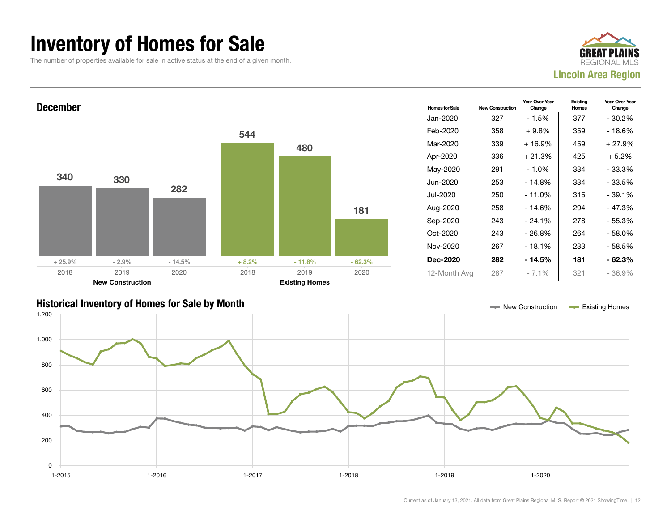### Inventory of Homes for Sale

The number of properties available for sale in active status at the end of a given month.





#### Historical Inventory of Homes for Sale by Month New Construction Existing Homes

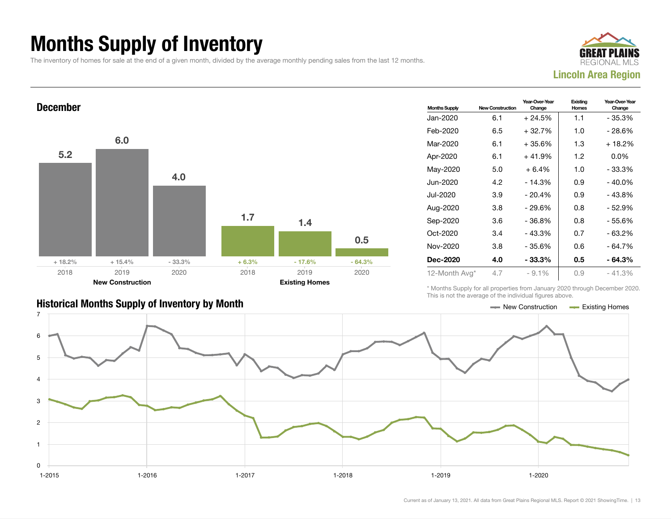## Months Supply of Inventory

The inventory of homes for sale at the end of a given month, divided by the average monthly pending sales from the last 12 months.





| <b>Historical Months Supply of Inventory by Month</b> | $\longrightarrow$ New Construction $\longrightarrow$ Existing Homes |  |
|-------------------------------------------------------|---------------------------------------------------------------------|--|

| <b>Months Supply</b> | <b>New Construction</b> | Year-Over-Year<br>Change | Existing<br>Homes | Year-Over-Year<br>Change |
|----------------------|-------------------------|--------------------------|-------------------|--------------------------|
| Jan-2020             | 6.1                     | $+24.5%$                 | 1.1               | $-35.3%$                 |
| Feb-2020             | 6.5                     | $+32.7%$                 | 1.0               | - 28.6%                  |
| Mar-2020             | 6.1                     | $+35.6%$                 | 1.3               | $+18.2%$                 |
| Apr-2020             | 6.1                     | $+41.9%$                 | 1.2               | $0.0\%$                  |
| May-2020             | 5.0                     | $+6.4%$                  | 1.0               | $-33.3%$                 |
| Jun-2020             | 4.2                     | - 14.3%                  | 0.9               | - 40.0%                  |
| Jul-2020             | 3.9                     | $-20.4%$                 | 0.9               | $-43.8%$                 |
| Aug-2020             | 3.8                     | - 29.6%                  | 0.8               | - 52.9%                  |
| Sep-2020             | 3.6                     | - 36.8%                  | 0.8               | - 55.6%                  |
| $Oct-2020$           | 3.4                     | $-43.3%$                 | 0.7               | $-63.2%$                 |
| Nov-2020             | 3.8                     | $-35.6%$                 | 0.6               | - 64.7%                  |
| <b>Dec-2020</b>      | 4.0                     | $-33.3\%$                | 0.5               | - 64.3%                  |
| 12-Month Avg*        | 4.7                     | $-9.1%$                  | 0.9               | $-41.3%$                 |

\* Months Supply for all properties from January 2020 through December 2020. This is not the average of the individual figures above.